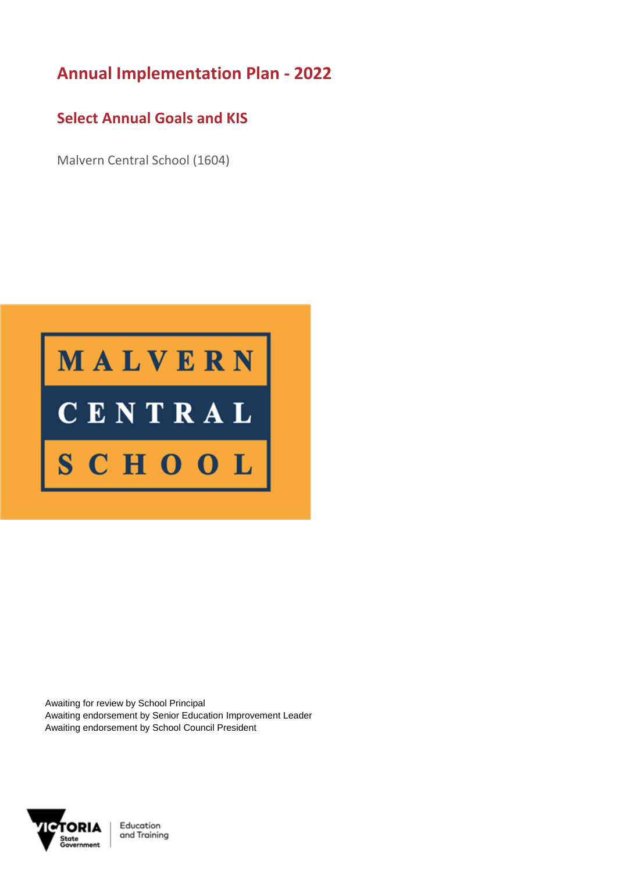## **Annual Implementation Plan - 2022**

## **Select Annual Goals and KIS**

Malvern Central School (1604)



Awaiting for review by School Principal Awaiting endorsement by Senior Education Improvement Leader Awaiting endorsement by School Council President



Education and Training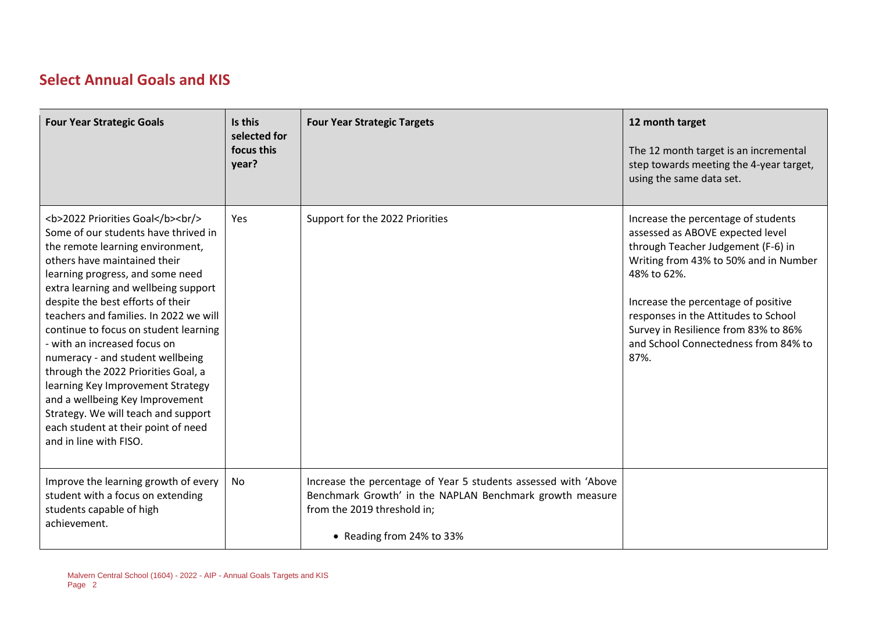## **Select Annual Goals and KIS**

| <b>Four Year Strategic Goals</b>                                                                                                                                                        | Is this<br>selected for<br>focus this<br>year? | <b>Four Year Strategic Targets</b>                                                                                                                                                      | 12 month target<br>The 12 month target is an incremental<br>step towards meeting the 4-year target,<br>using the same data set.                                                                                                                                                                                                              |
|-----------------------------------------------------------------------------------------------------------------------------------------------------------------------------------------|------------------------------------------------|-----------------------------------------------------------------------------------------------------------------------------------------------------------------------------------------|----------------------------------------------------------------------------------------------------------------------------------------------------------------------------------------------------------------------------------------------------------------------------------------------------------------------------------------------|
| <b>2022 Priorities Goal</b><br><br><br>Some of our students have thrived in<br>the remote learning environment,<br>others have maintained their<br>learning progress, and some need<br> | Yes                                            | Support for the 2022 Priorities                                                                                                                                                         | Increase the percentage of students<br>assessed as ABOVE expected level<br>through Teacher Judgement (F-6) in<br>Writing from 43% to 50% and in Number<br>48% to 62%.<br>Increase the percentage of positive<br>responses in the Attitudes to School<br>Survey in Resilience from 83% to 86%<br>and School Connectedness from 84% to<br>87%. |
| Improve the learning growth of every<br>student with a focus on extending<br>students capable of high<br>achievement.                                                                   | No                                             | Increase the percentage of Year 5 students assessed with 'Above<br>Benchmark Growth' in the NAPLAN Benchmark growth measure<br>from the 2019 threshold in;<br>• Reading from 24% to 33% |                                                                                                                                                                                                                                                                                                                                              |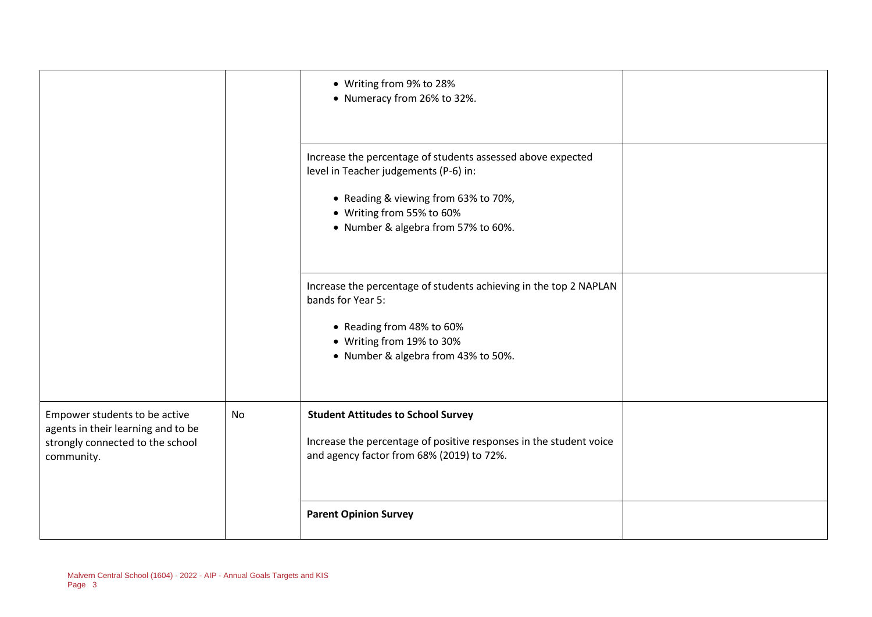|                                                                                                                       |           | • Writing from 9% to 28%<br>• Numeracy from 26% to 32%.                                                                                                                                                          |  |
|-----------------------------------------------------------------------------------------------------------------------|-----------|------------------------------------------------------------------------------------------------------------------------------------------------------------------------------------------------------------------|--|
|                                                                                                                       |           | Increase the percentage of students assessed above expected<br>level in Teacher judgements (P-6) in:<br>• Reading & viewing from 63% to 70%,<br>• Writing from 55% to 60%<br>• Number & algebra from 57% to 60%. |  |
|                                                                                                                       |           | Increase the percentage of students achieving in the top 2 NAPLAN<br>bands for Year 5:<br>• Reading from 48% to 60%<br>• Writing from 19% to 30%<br>• Number & algebra from 43% to 50%.                          |  |
| Empower students to be active<br>agents in their learning and to be<br>strongly connected to the school<br>community. | <b>No</b> | <b>Student Attitudes to School Survey</b><br>Increase the percentage of positive responses in the student voice<br>and agency factor from 68% (2019) to 72%.                                                     |  |
|                                                                                                                       |           | <b>Parent Opinion Survey</b>                                                                                                                                                                                     |  |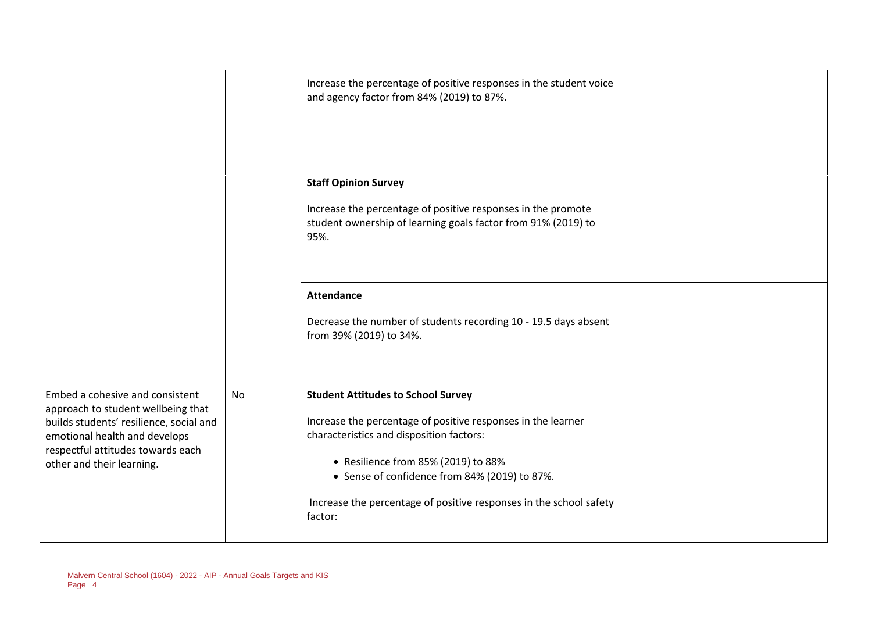|                                                                                                                                                                                                                     |    | Increase the percentage of positive responses in the student voice<br>and agency factor from 84% (2019) to 87%.                                                                                                                                                                                                                |  |
|---------------------------------------------------------------------------------------------------------------------------------------------------------------------------------------------------------------------|----|--------------------------------------------------------------------------------------------------------------------------------------------------------------------------------------------------------------------------------------------------------------------------------------------------------------------------------|--|
|                                                                                                                                                                                                                     |    | <b>Staff Opinion Survey</b><br>Increase the percentage of positive responses in the promote<br>student ownership of learning goals factor from 91% (2019) to<br>95%.                                                                                                                                                           |  |
|                                                                                                                                                                                                                     |    | <b>Attendance</b><br>Decrease the number of students recording 10 - 19.5 days absent<br>from 39% (2019) to 34%.                                                                                                                                                                                                                |  |
| Embed a cohesive and consistent<br>approach to student wellbeing that<br>builds students' resilience, social and<br>emotional health and develops<br>respectful attitudes towards each<br>other and their learning. | No | <b>Student Attitudes to School Survey</b><br>Increase the percentage of positive responses in the learner<br>characteristics and disposition factors:<br>• Resilience from 85% (2019) to 88%<br>• Sense of confidence from 84% (2019) to 87%.<br>Increase the percentage of positive responses in the school safety<br>factor: |  |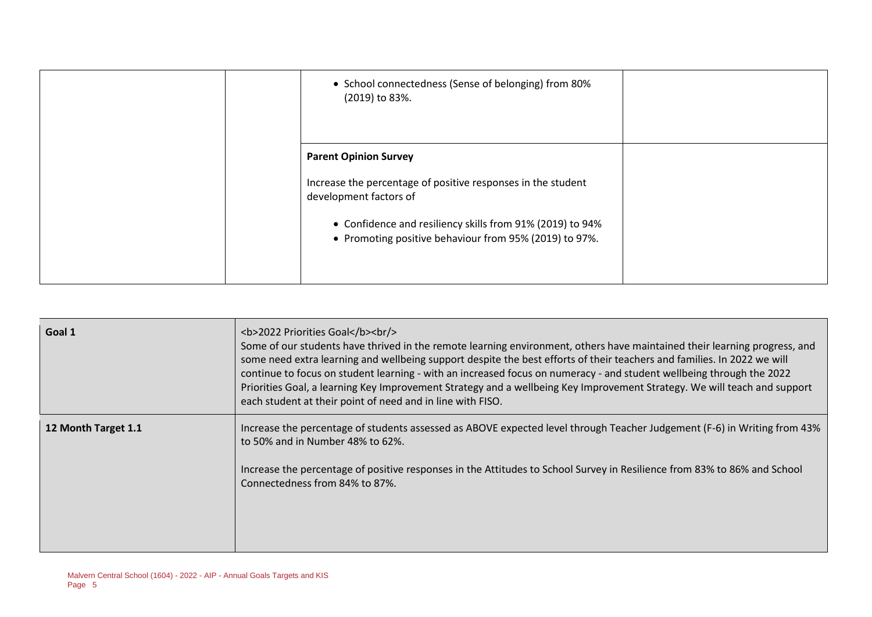|  | • School connectedness (Sense of belonging) from 80%<br>(2019) to 83%.                                                                                                                                                                        |  |
|--|-----------------------------------------------------------------------------------------------------------------------------------------------------------------------------------------------------------------------------------------------|--|
|  | <b>Parent Opinion Survey</b><br>Increase the percentage of positive responses in the student<br>development factors of<br>• Confidence and resiliency skills from 91% (2019) to 94%<br>• Promoting positive behaviour from 95% (2019) to 97%. |  |

| Goal 1              | <b>2022 Priorities Goal</b><br><br><br>Some of our students have thrived in the remote learning environment, others have maintained their learning progress, and<br>some need extra learning and wellbeing support despite the best efforts of their teachers and families. In 2022 we will<br>continue to focus on student learning - with an increased focus on numeracy - and student wellbeing through the 2022<br>Priorities Goal, a learning Key Improvement Strategy and a wellbeing Key Improvement Strategy. We will teach and support<br>each student at their point of need and in line with FISO. |
|---------------------|---------------------------------------------------------------------------------------------------------------------------------------------------------------------------------------------------------------------------------------------------------------------------------------------------------------------------------------------------------------------------------------------------------------------------------------------------------------------------------------------------------------------------------------------------------------------------------------------------------------|
| 12 Month Target 1.1 | Increase the percentage of students assessed as ABOVE expected level through Teacher Judgement (F-6) in Writing from 43%<br>to 50% and in Number 48% to 62%.<br>Increase the percentage of positive responses in the Attitudes to School Survey in Resilience from 83% to 86% and School<br>Connectedness from 84% to 87%.                                                                                                                                                                                                                                                                                    |